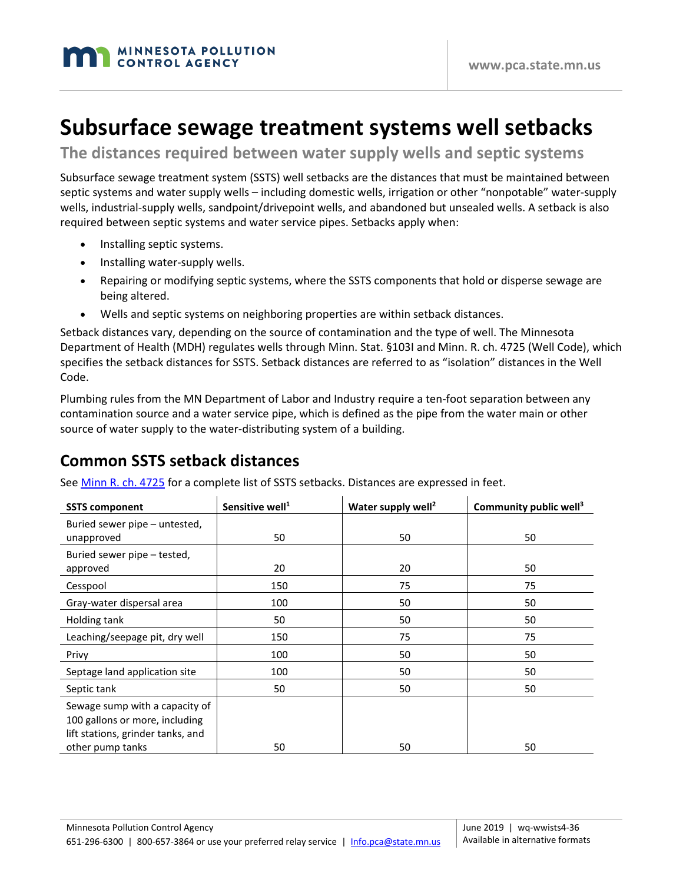

# **Subsurface sewage treatment systems well setbacks**

**The distances required between water supply wells and septic systems**

Subsurface sewage treatment system (SSTS) well setbacks are the distances that must be maintained between septic systems and water supply wells – including domestic wells, irrigation or other "nonpotable" water-supply wells, industrial-supply wells, sandpoint/drivepoint wells, and abandoned but unsealed wells. A setback is also required between septic systems and water service pipes. Setbacks apply when:

- Installing septic systems.
- Installing water-supply wells.
- Repairing or modifying septic systems, where the SSTS components that hold or disperse sewage are being altered.
- Wells and septic systems on neighboring properties are within setback distances.

Setback distances vary, depending on the source of contamination and the type of well. The Minnesota Department of Health (MDH) regulates wells through Minn. Stat. §103I and Minn. R. ch. 4725 (Well Code), which specifies the setback distances for SSTS. Setback distances are referred to as "isolation" distances in the Well Code.

Plumbing rules from the MN Department of Labor and Industry require a ten-foot separation between any contamination source and a water service pipe, which is defined as the pipe from the water main or other source of water supply to the water-distributing system of a building.

### **Common SSTS setback distances**

|  |  | See <u>Minn R. ch. 4725</u> for a complete list of SSTS setbacks. Distances are expressed in feet. |  |
|--|--|----------------------------------------------------------------------------------------------------|--|
|  |  |                                                                                                    |  |

| <b>SSTS component</b>                                                                                 | Sensitive well <sup>1</sup> | Water supply well <sup>2</sup> | Community public well <sup>3</sup> |
|-------------------------------------------------------------------------------------------------------|-----------------------------|--------------------------------|------------------------------------|
| Buried sewer pipe – untested,<br>unapproved                                                           | 50                          | 50                             | 50                                 |
| Buried sewer pipe – tested,<br>approved                                                               | 20                          | 20                             | 50                                 |
| Cesspool                                                                                              | 150                         | 75                             | 75                                 |
| Gray-water dispersal area                                                                             | 100                         | 50                             | 50                                 |
| Holding tank                                                                                          | 50                          | 50                             | 50                                 |
| Leaching/seepage pit, dry well                                                                        | 150                         | 75                             | 75                                 |
| Privy                                                                                                 | 100                         | 50                             | 50                                 |
| Septage land application site                                                                         | 100                         | 50                             | 50                                 |
| Septic tank                                                                                           | 50                          | 50                             | 50                                 |
| Sewage sump with a capacity of<br>100 gallons or more, including<br>lift stations, grinder tanks, and |                             |                                |                                    |
| other pump tanks                                                                                      | 50                          | 50                             | 50                                 |